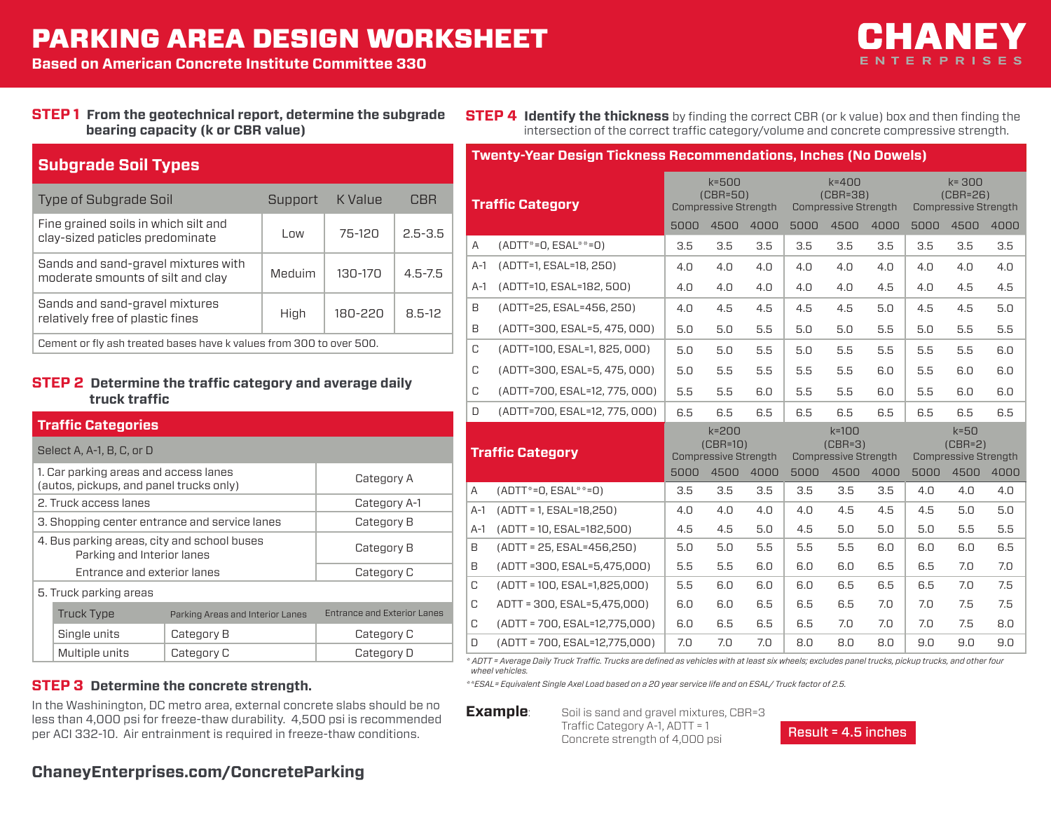## PARKING AREA DESIGN WORKSHEET

**Based on American Concrete Institute Committee 330**

# ENTERPRISES

#### **STEP 1 From the geotechnical report, determine the subgrade bearing capacity (k or CBR value)**

**STEP 4 Identify the thickness** by finding the correct CBR (or k value) box and then finding the intersection of the correct traffic category/volume and concrete compressive strength.

**Twenty-Year Design Tickness Recommendations, Inches (No Dowels)**

| <b>Subgrade Soil Types</b>                                               |         |             |             |  |  |
|--------------------------------------------------------------------------|---------|-------------|-------------|--|--|
| Type of Subgrade Soil                                                    | Support | K Value     | CBR         |  |  |
| Fine grained soils in which silt and<br>clay-sized paticles predominate  | l nw    | 75-120      | $2.5 - 3.5$ |  |  |
| Sands and sand-gravel mixtures with<br>moderate smounts of silt and clay | Meduim  | $130 - 170$ | $4.5 - 7.5$ |  |  |
| Sands and sand-gravel mixtures<br>relatively free of plastic fines       | High    | 180-220     | $8.5 - 12$  |  |  |
| Cement or fly ash treated bases have k values from 300 to over 500.      |         |             |             |  |  |

#### **STEP 2 Determine the traffic category and average daily truck traffic**

#### **Traffic Categories**

| Select A, A-1, B, C, or D                                                        |                                  |                                    |  |  |  |
|----------------------------------------------------------------------------------|----------------------------------|------------------------------------|--|--|--|
| 1. Car parking areas and access lanes<br>(autos, pickups, and panel trucks only) | Category A                       |                                    |  |  |  |
| 2. Truck access lanes                                                            | Category A-1                     |                                    |  |  |  |
| 3. Shopping center entrance and service lanes                                    | Category B                       |                                    |  |  |  |
| 4. Bus parking areas, city and school buses<br>Parking and Interior lanes        | Category B                       |                                    |  |  |  |
| Entrance and exterior lanes                                                      |                                  | Category C                         |  |  |  |
| 5. Truck parking areas                                                           |                                  |                                    |  |  |  |
| <b>Truck Type</b>                                                                | Parking Areas and Interior Lanes | <b>Entrance and Exterior Lanes</b> |  |  |  |
| Single units                                                                     | Category B                       | Category C                         |  |  |  |
| Multiple units                                                                   | Category C                       | Category D                         |  |  |  |

In the Washinington, DC metro area, external concrete slabs should be no less than 4,000 psi for freeze-thaw durability. 4,500 psi is recommended per ACI 332-10. Air entrainment is required in freeze-thaw conditions.

|                | <b>Traffic Category</b>           |      | $k = 500$<br>$(CBR=50)$<br><b>Compressive Strength</b> |      |      | $k = 400$<br>$(CBR=38)$<br><b>Compressive Strength</b> |      |      | $k = 300$<br>$(CBR=26)$<br><b>Compressive Strength</b> |      |
|----------------|-----------------------------------|------|--------------------------------------------------------|------|------|--------------------------------------------------------|------|------|--------------------------------------------------------|------|
|                |                                   | 5000 | 4500                                                   | 4000 | 5000 | 4500                                                   | 4000 | 5000 | 4500                                                   | 4000 |
| A              | $(ADTT^*=0, ESAL^*=0)$            | 3.5  | 3.5                                                    | 3.5  | 3.5  | 3.5                                                    | 3.5  | 3.5  | 3.5                                                    | 3.5  |
| $A-1$          | (ADTT=1, ESAL=18, 250)            | 4.0  | 4.0                                                    | 4.0  | 4.0  | 4.0                                                    | 4.0  | 4.0  | 4.0                                                    | 4.0  |
| $A-1$          | (ADTT=10, ESAL=182, 500)          | 4.0  | 4.0                                                    | 4.0  | 4.0  | 4.0                                                    | 4.5  | 4.0  | 4.5                                                    | 4.5  |
| B              | (ADTT=25, ESAL=456, 250)          | 4.0  | 4.5                                                    | 4.5  | 4.5  | 4.5                                                    | 5.0  | 4.5  | 4.5                                                    | 5.0  |
| B              | (ADTT=300, ESAL=5, 475, 000)      | 5.0  | 5.0                                                    | 5.5  | 5.0  | 5.0                                                    | 5.5  | 5.0  | 5.5                                                    | 5.5  |
| C              | (ADTT=100, ESAL=1, 825, 000)      | 5.0  | 5.0                                                    | 5.5  | 5.0  | 5.5                                                    | 5.5  | 5.5  | 5.5                                                    | 6.0  |
| C              | (ADTT=300, ESAL=5, 475, 000)      | 5.0  | 5.5                                                    | 5.5  | 5.5  | 5.5                                                    | 6.0  | 5.5  | 6.0                                                    | 6.0  |
| C              | (ADTT=700, ESAL=12, 775, 000)     | 5.5  | 5.5                                                    | 6.0  | 5.5  | 5.5                                                    | 6.0  | 5.5  | 6.0                                                    | 6.0  |
| D              | (ADTT=700, ESAL=12, 775, 000)     | 6.5  | 6.5                                                    | 6.5  | 6.5  | 6.5                                                    | 6.5  | 6.5  | 6.5                                                    | 6.5  |
|                | <b>Traffic Category</b>           |      | $k = 200$<br>$(CBR=10)$<br><b>Compressive Strength</b> |      |      | $k=100$<br>$(CBR=3)$<br><b>Compressive Strength</b>    |      |      | $k = 50$<br>$(CBR=2)$<br><b>Compressive Strength</b>   |      |
|                |                                   | 5000 | 4500                                                   | 4000 | 5000 | 4500                                                   | 4000 | 5000 | 4500                                                   | 4000 |
| $\overline{A}$ | $(ADTT^*=0, ESAL^{**}=0)$         | 3.5  | 3.5                                                    | 3.5  | 3.5  | 3.5                                                    | 3.5  | 4.0  | 4.0                                                    | 4.0  |
| $A-1$          | $(ADTT = 1, ESAL=18,250)$         | 4.0  | 4.0                                                    | 4.0  | 4.0  | 4.5                                                    | 4.5  | 4.5  | 5.0                                                    | 5.0  |
| $A-1$          | $(ADTT = 10, ESAL=182,500)$       | 4.5  | 4.5                                                    | 5.0  | 4.5  | 5.0                                                    | 5.0  | 5.0  | 5.5                                                    | 5.5  |
| B              | $(ADTT = 25, ESAL = 456.250)$     | 5.0  | 5.0                                                    | 5.5  | 5.5  | 5.5                                                    | 6.0  | 6.0  | 6.0                                                    | 6.5  |
| B              | $(ADTT = 300, ESAL = 5,475,000)$  | 5.5  | 5.5                                                    | 6.0  | 6.0  | 6.0                                                    | 6.5  | 6.5  | 7.0                                                    | 7.0  |
| C              | $(ADTT = 100, ESAL=1,825,000)$    | 5.5  | 6.0                                                    | 6.0  | 6.0  | 6.5                                                    | 6.5  | 6.5  | 7.0                                                    | 7.5  |
| C              | ADTT = 300, ESAL=5,475,000)       | 6.0  | 6.0                                                    | 6.5  | 6.5  | 6.5                                                    | 7.0  | 7.0  | 7.5                                                    | 7.5  |
| C              | $(ADTT = 700, ESAL = 12,775,000)$ | 6.0  | 6.5                                                    | 6.5  | 6.5  | 7.0                                                    | 7.0  | 7.0  | 7.5                                                    | 8.0  |
| D              | $(ADTT = 700, ESAL = 12,775,000)$ | 7.0  | 7.0                                                    | 7.0  | 8.0  | 8.0                                                    | 8.0  | 9.0  | 9.0                                                    | 9.0  |

*\* ADTT = Average Daily Truck Traffic. Trucks are defined as vehicles with at least six wheels; excludes panel trucks, pickup trucks, and other four wheel vehicles.*

*\*\*ESAL= Equivalent Single Axel Load based on a 20 year service life and on ESAL/ Truck factor of 2.5.*

**Example**: Soil is sand and gravel mixtures, CBR=3 Traffic Category A-1, ADTT = 1 Concrete strength of 4,000 psi



### **ChaneyEnterprises.com/ConcreteParking**

**STEP 3 Determine the concrete strength.**